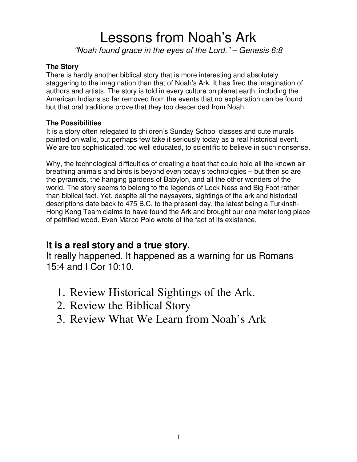### Lessons from Noah's Ark *"Noah found grace in the eyes of the Lord." – Genesis 6:8*

#### **The Story**

There is hardly another biblical story that is more interesting and absolutely staggering to the imagination than that of Noah's Ark. It has fired the imagination of authors and artists. The story is told in every culture on planet earth, including the American Indians so far removed from the events that no explanation can be found but that oral traditions prove that they too descended from Noah.

#### **The Possibilities**

It is a story often relegated to children's Sunday School classes and cute murals painted on walls, but perhaps few take it seriously today as a real historical event. We are too sophisticated, too well educated, to scientific to believe in such nonsense.

Why, the technological difficulties of creating a boat that could hold all the known air breathing animals and birds is beyond even today's technologies – but then so are the pyramids, the hanging gardens of Babylon, and all the other wonders of the world. The story seems to belong to the legends of Lock Ness and Big Foot rather than biblical fact. Yet, despite all the naysayers, sightings of the ark and historical descriptions date back to 475 B.C. to the present day, the latest being a Turkinsh-Hong Kong Team claims to have found the Ark and brought our one meter long piece of petrified wood. Even Marco Polo wrote of the fact of its existence.

### **It is a real story and a true story.**

It really happened. It happened as a warning for us Romans 15:4 and I Cor 10:10.

- 1. Review Historical Sightings of the Ark.
- 2. Review the Biblical Story
- 3. Review What We Learn from Noah's Ark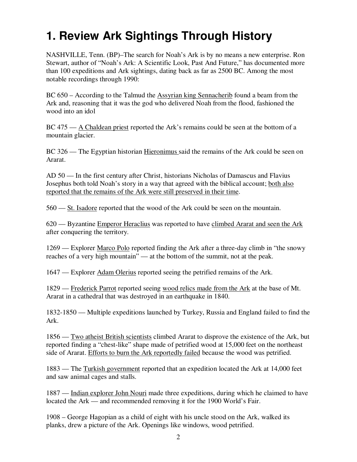# **1. Review Ark Sightings Through History**

NASHVILLE, Tenn. (BP)–The search for Noah's Ark is by no means a new enterprise. Ron Stewart, author of "Noah's Ark: A Scientific Look, Past And Future," has documented more than 100 expeditions and Ark sightings, dating back as far as 2500 BC. Among the most notable recordings through 1990:

BC 650 – According to the Talmud the Assyrian king Sennacherib found a beam from the Ark and, reasoning that it was the god who delivered Noah from the flood, fashioned the wood into an idol

BC 475 — A Chaldean priest reported the Ark's remains could be seen at the bottom of a mountain glacier.

BC 326 — The Egyptian historian Hieronimus said the remains of the Ark could be seen on Ararat.

AD 50 — In the first century after Christ, historians Nicholas of Damascus and Flavius Josephus both told Noah's story in a way that agreed with the biblical account; both also reported that the remains of the Ark were still preserved in their time.

560 — St. Isadore reported that the wood of the Ark could be seen on the mountain.

620 — Byzantine Emperor Heraclius was reported to have climbed Ararat and seen the Ark after conquering the territory.

1269 — Explorer Marco Polo reported finding the Ark after a three-day climb in "the snowy reaches of a very high mountain" — at the bottom of the summit, not at the peak.

1647 — Explorer Adam Olerius reported seeing the petrified remains of the Ark.

1829 — Frederick Parrot reported seeing wood relics made from the Ark at the base of Mt. Ararat in a cathedral that was destroyed in an earthquake in 1840.

1832-1850 — Multiple expeditions launched by Turkey, Russia and England failed to find the Ark.

1856 — Two atheist British scientists climbed Ararat to disprove the existence of the Ark, but reported finding a "chest-like" shape made of petrified wood at 15,000 feet on the northeast side of Ararat. Efforts to burn the Ark reportedly failed because the wood was petrified.

1883 — The Turkish government reported that an expedition located the Ark at 14,000 feet and saw animal cages and stalls.

1887 — Indian explorer John Nouri made three expeditions, during which he claimed to have located the Ark — and recommended removing it for the 1900 World's Fair.

1908 – George Hagopian as a child of eight with his uncle stood on the Ark, walked its planks, drew a picture of the Ark. Openings like windows, wood petrified.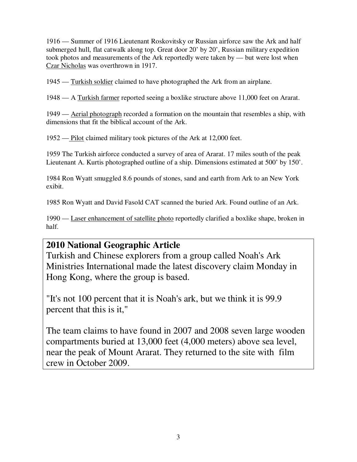1916 — Summer of 1916 Lieutenant Roskovitsky or Russian airforce saw the Ark and half submerged hull, flat catwalk along top. Great door 20' by 20', Russian military expedition took photos and measurements of the Ark reportedly were taken by — but were lost when Czar Nicholas was overthrown in 1917.

1945 — Turkish soldier claimed to have photographed the Ark from an airplane.

1948 — A Turkish farmer reported seeing a boxlike structure above 11,000 feet on Ararat.

1949 — Aerial photograph recorded a formation on the mountain that resembles a ship, with dimensions that fit the biblical account of the Ark.

1952 — Pilot claimed military took pictures of the Ark at 12,000 feet.

1959 The Turkish airforce conducted a survey of area of Ararat. 17 miles south of the peak Lieutenant A. Kurtis photographed outline of a ship. Dimensions estimated at 500' by 150'.

1984 Ron Wyatt smuggled 8.6 pounds of stones, sand and earth from Ark to an New York exibit.

1985 Ron Wyatt and David Fasold CAT scanned the buried Ark. Found outline of an Ark.

1990 — Laser enhancement of satellite photo reportedly clarified a boxlike shape, broken in half.

### **2010 National Geographic Article**

Turkish and Chinese explorers from a group called Noah's Ark Ministries International made the latest discovery claim Monday in Hong Kong, where the group is based.

"It's not 100 percent that it is Noah's ark, but we think it is 99.9 percent that this is it,"

The team claims to have found in 2007 and 2008 seven large wooden compartments buried at 13,000 feet (4,000 meters) above sea level, near the peak of Mount Ararat. They returned to the site with film crew in October 2009.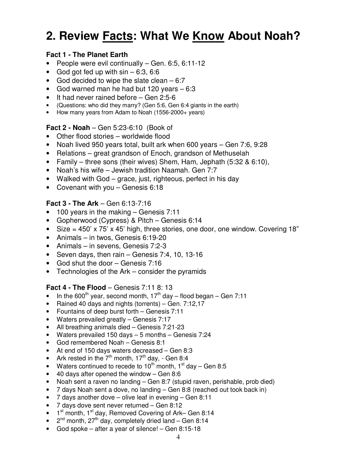# **2. Review Facts: What We Know About Noah?**

#### **Fact 1 - The Planet Earth**

- People were evil continually Gen. 6:5, 6:11-12
- God got fed up with  $sin 6:3$ , 6:6
- God decided to wipe the slate clean  $-6:7$
- God warned man he had but 120 years 6:3
- It had never rained before Gen 2:5-6
- (Questions: who did they marry? (Gen 5:6, Gen 6:4 giants in the earth)
- How many years from Adam to Noah (1556-2000+ years)

#### **Fact 2 - Noah** – Gen 5:23-6:10 (Book of

- Other flood stories worldwide flood
- Noah lived 950 years total, built ark when 600 years Gen 7:6, 9:28
- Relations great grandson of Enoch, grandson of Methuselah
- Family three sons (their wives) Shem, Ham, Jephath (5:32 & 6:10),
- Noah's his wife Jewish tradition Naamah. Gen 7:7
- Walked with God grace, just, righteous, perfect in his day
- Covenant with you Genesis 6:18

#### **Fact 3 - The Ark** – Gen 6:13-7:16

- 100 years in the making Genesis 7:11
- Gopherwood (Cypress) & Pitch Genesis 6:14
- Size =  $450'$  x  $75'$  x  $45'$  high, three stories, one door, one window. Covering 18"
- Animals in twos, Genesis 6:19-20
- Animals in sevens, Genesis 7:2-3
- Seven days, then rain Genesis 7:4, 10, 13-16
- God shut the door Genesis 7:16
- Technologies of the Ark consider the pyramids

#### **Fact 4 - The Flood** – Genesis 7:11 8: 13

- In the 600<sup>th</sup> year, second month,  $17<sup>th</sup>$  day flood began Gen 7:11
- Rained 40 days and nights (torrents) Gen. 7:12,17
- Fountains of deep burst forth Genesis 7:11
- Waters prevailed greatly Genesis 7:17
- All breathing animals died Genesis 7:21-23
- Waters prevailed 150 days 5 months Genesis 7:24
- God remembered Noah Genesis 8:1
- At end of 150 days waters decreased Gen 8:3
- Ark rested in the 7<sup>th</sup> month, 17<sup>th</sup> day, Gen 8:4<br>• Waters continued to recede to 10<sup>th</sup> month, 1<sup>st</sup> d
- Waters continued to recede to  $10^{\text{th}}$  month,  $1^{\text{st}}$  day Gen 8:5
- 40 days after opened the window Gen 8:6
- Noah sent a raven no landing Gen 8:7 (stupid raven, perishable, prob died)
- 7 days Noah sent a dove, no landing Gen 8:8 (reached out took back in)
- 7 days another dove olive leaf in evening Gen 8:11
- 7 days dove sent never returned Gen 8:12
- $\bullet$  1<sup>st</sup> month, 1<sup>st</sup> day, Removed Covering of Ark– Gen 8:14
- $2<sup>nd</sup>$  month,  $27<sup>th</sup>$  day, completely dried land Gen 8:14
- God spoke after a year of silence! Gen 8:15-18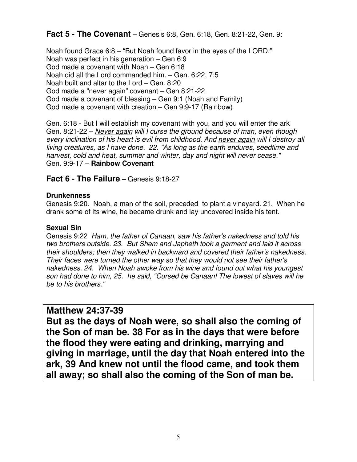#### **Fact 5 - The Covenant** – Genesis 6:8, Gen. 6:18, Gen. 8:21-22, Gen. 9:

Noah found Grace 6:8 – "But Noah found favor in the eyes of the LORD." Noah was perfect in his generation – Gen 6:9 God made a covenant with Noah – Gen 6:18 Noah did all the Lord commanded him. – Gen. 6:22, 7:5 Noah built and altar to the Lord – Gen. 8:20 God made a "never again" covenant – Gen 8:21-22 God made a covenant of blessing – Gen 9:1 (Noah and Family) God made a covenant with creation – Gen 9:9-17 (Rainbow)

Gen. 6:18 - But I will establish my covenant with you, and you will enter the ark Gen. 8:21-22 – *Never again will I curse the ground because of man, even though every inclination of his heart is evil from childhood. And never again will I destroy all living creatures, as I have done. 22. "As long as the earth endures, seedtime and harvest, cold and heat, summer and winter, day and night will never cease."* Gen. 9:9-17 – **Rainbow Covenant**

#### **Fact 6 - The Failure** – Genesis 9:18-27

#### **Drunkenness**

Genesis 9:20. Noah, a man of the soil, preceded to plant a vineyard. 21. When he drank some of its wine, he became drunk and lay uncovered inside his tent.

#### **Sexual Sin**

Genesis 9:22 *Ham, the father of Canaan, saw his father's nakedness and told his two brothers outside. 23. But Shem and Japheth took a garment and laid it across their shoulders; then they walked in backward and covered their father's nakedness. Their faces were turned the other way so that they would not see their father's nakedness. 24. When Noah awoke from his wine and found out what his youngest son had done to him, 25. he said, "Cursed be Canaan! The lowest of slaves will he be to his brothers."* 

#### **Matthew 24:37-39**

**But as the days of Noah were, so shall also the coming of the Son of man be. 38 For as in the days that were before the flood they were eating and drinking, marrying and giving in marriage, until the day that Noah entered into the ark, 39 And knew not until the flood came, and took them all away; so shall also the coming of the Son of man be.**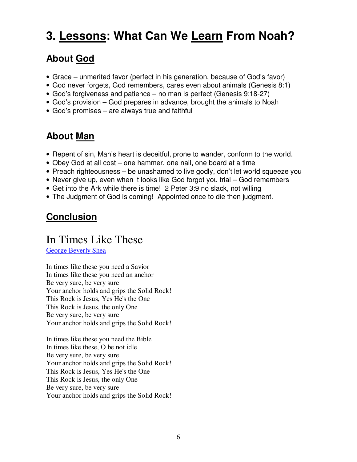# **3. Lessons: What Can We Learn From Noah?**

### **About God**

- Grace unmerited favor (perfect in his generation, because of God's favor)
- God never forgets, God remembers, cares even about animals (Genesis 8:1)
- God's forgiveness and patience no man is perfect (Genesis 9:18-27)
- God's provision God prepares in advance, brought the animals to Noah
- God's promises are always true and faithful

### **About Man**

- Repent of sin, Man's heart is deceitful, prone to wander, conform to the world.
- Obey God at all cost one hammer, one nail, one board at a time
- Preach righteousness be unashamed to live godly, don't let world squeeze you
- Never give up, even when it looks like God forgot you trial God remembers
- Get into the Ark while there is time! 2 Peter 3:9 no slack, not willing
- The Judgment of God is coming! Appointed once to die then judgment.

### **Conclusion**

### In Times Like These

George Beverly Shea

In times like these you need a Savior In times like these you need an anchor Be very sure, be very sure Your anchor holds and grips the Solid Rock! This Rock is Jesus, Yes He's the One This Rock is Jesus, the only One Be very sure, be very sure Your anchor holds and grips the Solid Rock!

In times like these you need the Bible In times like these, O be not idle Be very sure, be very sure Your anchor holds and grips the Solid Rock! This Rock is Jesus, Yes He's the One This Rock is Jesus, the only One Be very sure, be very sure Your anchor holds and grips the Solid Rock!